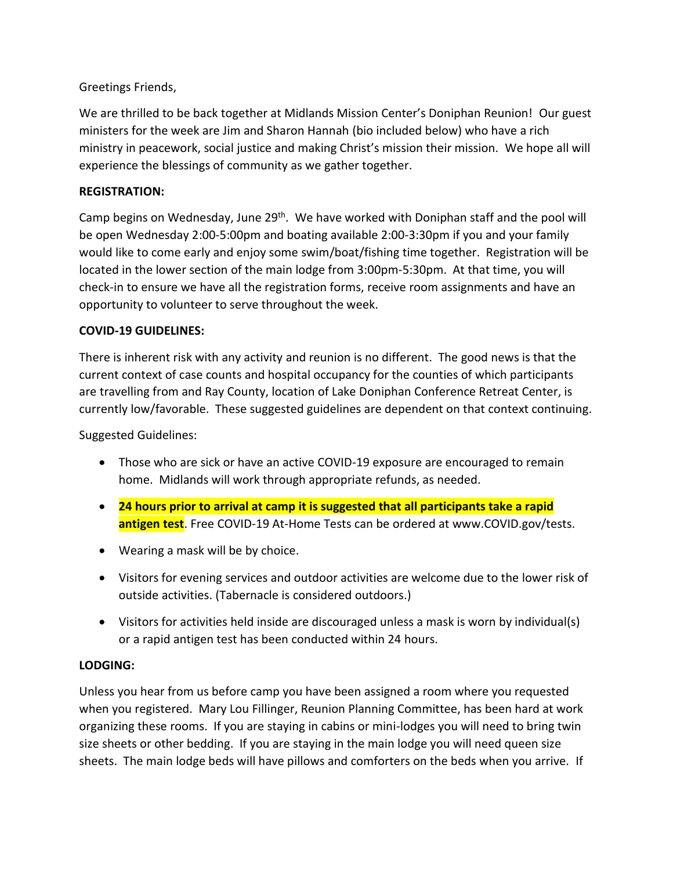# Greetings Friends,

We are thrilled to be back together at Midlands Mission Center's Doniphan Reunion! Our guest ministers for the week are Jim and Sharon Hannah (bio included below) who have a rich ministry in peacework, social justice and making Christ's mission their mission. We hope all will experience the blessings of community as we gather together.

# **REGISTRATION:**

Camp begins on Wednesday, June 29<sup>th</sup>. We have worked with Doniphan staff and the pool will be open Wednesday 2:00-5:00pm and boating available 2:00-3:30pm if you and your family would like to come early and enjoy some swim/boat/fishing time together. Registration will be located in the lower section of the main lodge from 3:00pm-5:30pm. At that time, you will check-in to ensure we have all the registration forms, receive room assignments and have an opportunity to volunteer to serve throughout the week.

# **COVID-19 GUIDELINES:**

There is inherent risk with any activity and reunion is no different. The good news is that the current context of case counts and hospital occupancy for the counties of which participants are travelling from and Ray County, location of Lake Doniphan Conference Retreat Center, is currently low/favorable. These suggested guidelines are dependent on that context continuing.

Suggested Guidelines:

- Those who are sick or have an active COVID-19 exposure are encouraged to remain home. Midlands will work through appropriate refunds, as needed.
- **24 hours prior to arrival at camp it is suggested that all participants take a rapid antigen test**. Free COVID-19 At-Home Tests can be ordered at www.COVID.gov/tests.
- Wearing a mask will be by choice.
- Visitors for evening services and outdoor activities are welcome due to the lower risk of outside activities. (Tabernacle is considered outdoors.)
- Visitors for activities held inside are discouraged unless a mask is worn by individual(s) or a rapid antigen test has been conducted within 24 hours.

# **LODGING:**

Unless you hear from us before camp you have been assigned a room where you requested when you registered. Mary Lou Fillinger, Reunion Planning Committee, has been hard at work organizing these rooms. If you are staying in cabins or mini-lodges you will need to bring twin size sheets or other bedding. If you are staying in the main lodge you will need queen size sheets. The main lodge beds will have pillows and comforters on the beds when you arrive. If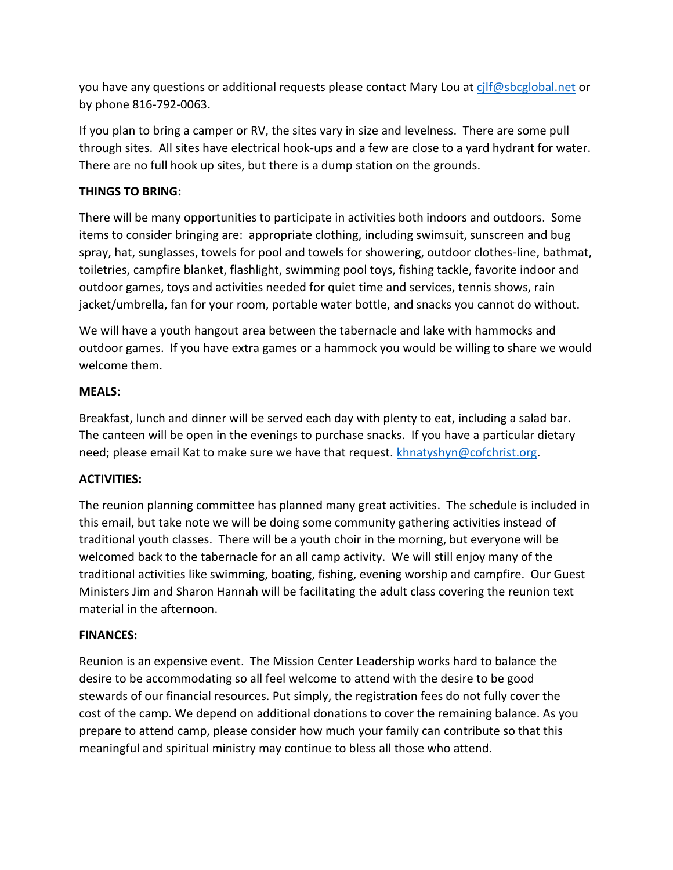you have any questions or additional requests please contact Mary Lou a[t cjlf@sbcglobal.net](mailto:cjlf@sbcglobal.net) or by phone 816-792-0063.

If you plan to bring a camper or RV, the sites vary in size and levelness. There are some pull through sites. All sites have electrical hook-ups and a few are close to a yard hydrant for water. There are no full hook up sites, but there is a dump station on the grounds.

# **THINGS TO BRING:**

There will be many opportunities to participate in activities both indoors and outdoors. Some items to consider bringing are: appropriate clothing, including swimsuit, sunscreen and bug spray, hat, sunglasses, towels for pool and towels for showering, outdoor clothes-line, bathmat, toiletries, campfire blanket, flashlight, swimming pool toys, fishing tackle, favorite indoor and outdoor games, toys and activities needed for quiet time and services, tennis shows, rain jacket/umbrella, fan for your room, portable water bottle, and snacks you cannot do without.

We will have a youth hangout area between the tabernacle and lake with hammocks and outdoor games. If you have extra games or a hammock you would be willing to share we would welcome them.

## **MEALS:**

Breakfast, lunch and dinner will be served each day with plenty to eat, including a salad bar. The canteen will be open in the evenings to purchase snacks. If you have a particular dietary need; please email Kat to make sure we have that request. [khnatyshyn@cofchrist.org.](mailto:khnatyshyn@cofchrist.org)

## **ACTIVITIES:**

The reunion planning committee has planned many great activities. The schedule is included in this email, but take note we will be doing some community gathering activities instead of traditional youth classes. There will be a youth choir in the morning, but everyone will be welcomed back to the tabernacle for an all camp activity. We will still enjoy many of the traditional activities like swimming, boating, fishing, evening worship and campfire. Our Guest Ministers Jim and Sharon Hannah will be facilitating the adult class covering the reunion text material in the afternoon.

## **FINANCES:**

Reunion is an expensive event. The Mission Center Leadership works hard to balance the desire to be accommodating so all feel welcome to attend with the desire to be good stewards of our financial resources. Put simply, the registration fees do not fully cover the cost of the camp. We depend on additional donations to cover the remaining balance. As you prepare to attend camp, please consider how much your family can contribute so that this meaningful and spiritual ministry may continue to bless all those who attend.